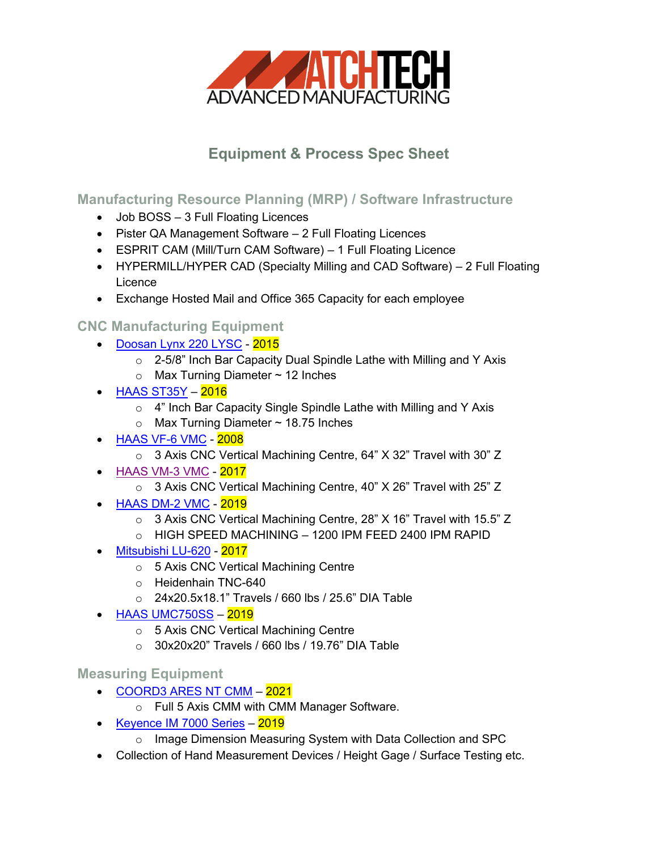

## **Equipment & Process Spec Sheet**

## **Manufacturing Resource Planning (MRP) / Software Infrastructure**

- Job BOSS 3 Full Floating Licences
- Pister QA Management Software 2 Full Floating Licences
- ESPRIT CAM (Mill/Turn CAM Software) 1 Full Floating Licence
- HYPERMILL/HYPER CAD (Specialty Milling and CAD Software) 2 Full Floating **Licence**
- Exchange Hosted Mail and Office 365 Capacity for each employee

## **CNC Manufacturing Equipment**

- [Doosan Lynx 220 LYSC](http://www.doosanmachinetools.com/usa/en/product/detail.do?CATEGORY_ID=mtus010100&PRODUCT_ID=mtusp0001&MODEL_ID=mtusd0004) 2015
	- o 2-5/8" Inch Bar Capacity Dual Spindle Lathe with Milling and Y Axis
	- $\circ$  Max Turning Diameter  $\sim$  12 Inches
- [HAAS ST35Y](https://www.haascnc.com/machines/lathes/st/models/y-axis/st-35y.html) 2016
	- o 4" Inch Bar Capacity Single Spindle Lathe with Milling and Y Axis
	- $\circ$  Max Turning Diameter  $\sim$  18.75 Inches
- [HAAS VF-6](https://www.haascnc.com/machines/vertical-mills/mold-machines/models/vm-3.html) VMC 2008
	- o 3 Axis CNC Vertical Machining Centre, 64" X 32" Travel with 30" Z
- [HAAS VM-3 VMC](https://www.haascnc.com/machines/vertical-mills/mold-machines/models/vm-3.html) 2017
	- o 3 Axis CNC Vertical Machining Centre, 40" X 26" Travel with 25" Z
- [HAAS DM-2](https://www.haascnc.com/machines/vertical-mills/drill-tap-mill/models/dm-2.html) VMC 2019
	- o 3 Axis CNC Vertical Machining Centre, 28" X 16" Travel with 15.5" Z
	- o HIGH SPEED MACHINING 1200 IPM FEED 2400 IPM RAPID
- [Mitsubishi LU-620](https://www.mcmachinery.com/products-and-solutions/mc-6000/) 2017
	- o 5 Axis CNC Vertical Machining Centre
	- o Heidenhain TNC-640
	- o 24x20.5x18.1" Travels / 660 lbs / 25.6" DIA Table
- [HAAS UMC750SS](https://www.haascnc.com/machines/vertical-mills/universal-machine/models/umc-750ss.html) 2019
	- o 5 Axis CNC Vertical Machining Centre
	- $\circ$  30x20x20" Travels / 660 lbs / 19.76" DIA Table

**Measuring Equipment**

- [COORD3 ARES NT CMM](https://coord3.com/en/cmm-ares/) 2021
	- o Full 5 Axis CMM with CMM Manager Software.
- [Keyence IM 7000 Series](https://www.keyence.ca/ss/products/measure-sys/im-7000/#Tab04) 2019
	- o Image Dimension Measuring System with Data Collection and SPC
- Collection of Hand Measurement Devices / Height Gage / Surface Testing etc.